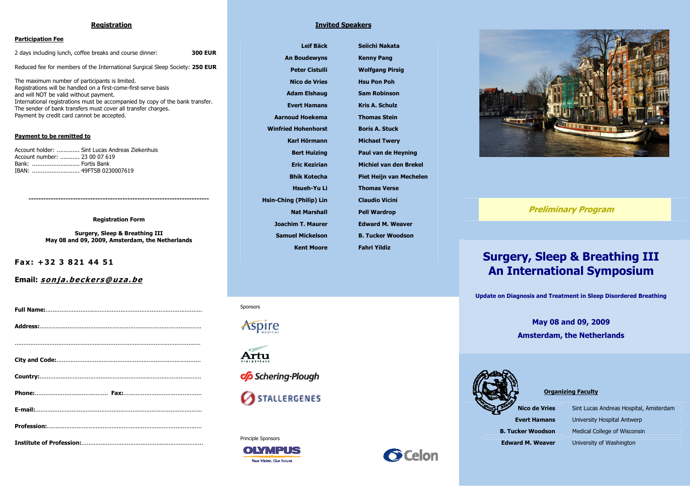### Registration

### Participation Fee

2 days including lunch, coffee breaks and course dinner: 300 EUR Reduced fee for members of the International Surgical Sleep Society: 250 EUR The maximum number of participants is limited. Registrations will be handled on a first-come-first-serve basis and will NOT be valid without payment. International registrations must be accompanied by copy of the bank transfer. The sender of bank transfers must cover all transfer charges. Payment by credit card cannot be accepted.

### Payment to be remitted to

Account holder: ............. Sint Lucas Andreas Ziekenhuis Account number: ........... 23 00 07 619 Bank: ........................... Fortis Bank IBAN: ........................... 49FTSB 0230007619

-------------------------------------------------------------------------

### Registration Form

Surgery, Sleep & Breathing III May 08 and 09, 2009, Amsterdam, the Netherlands

Fax: +32 3 821 44 51

Email: sonja.beckers@uza.be

### Invited Speakers

Leif Bäck An Boudewyns Peter Cistulli Nico de Vries Adam Elshaug Evert Hamans Aarnoud Hoekema Winfried Hohenhorst Karl Hörmann Bert Huizing Eric Kezirian Bhik Kotecha Hsueh-Yu Li Hsin-Ching (Philip) Lin Nat Marshall Joachim T. Maurer Samuel Mickelson Kent Moore

Seiichi Nakata Kenny Pang Wolfgang Pirsig Hsu Pon Poh Sam Robinson Kris A. Schulz Thomas Stein Boris A. Stuck Michael Twery Paul van de Heyning Michiel van den Brekel Piet Heijn van Mechelen Thomas Verse Claudio Vicini Pell Wardrop Edward M. Weaver B. Tucker Woodson Fahri Yildiz



Preliminary Program

# Surgery, Sleep & Breathing III An International Symposium

Update on Diagnosis and Treatment in Sleep Disordered Breathing

May 08 and 09, 2009 Amsterdam, the Netherlands



Organizing Faculty

Nico de Vries Sint Lucas Andreas Hospital, Amsterdam **Evert Hamans** University Hospital Antwerp **B. Tucker Woodson** Medical College of Wisconsin **Edward M. Weaver** University of Washington

### Sponsors

*Spire* 



Principle Sponsors